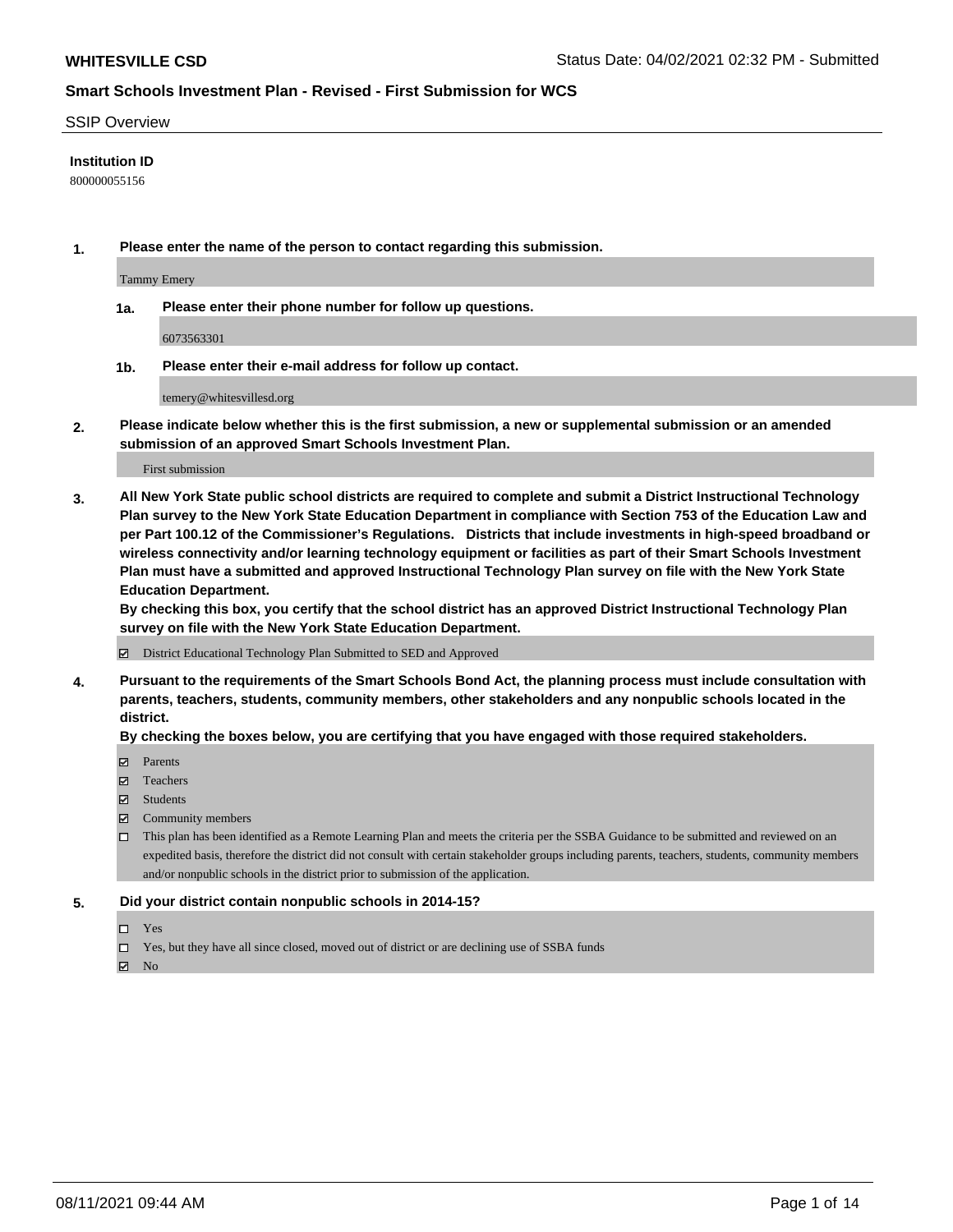#### SSIP Overview

### **Institution ID**

800000055156

**1. Please enter the name of the person to contact regarding this submission.**

Tammy Emery

**1a. Please enter their phone number for follow up questions.**

6073563301

**1b. Please enter their e-mail address for follow up contact.**

temery@whitesvillesd.org

**2. Please indicate below whether this is the first submission, a new or supplemental submission or an amended submission of an approved Smart Schools Investment Plan.**

#### First submission

**3. All New York State public school districts are required to complete and submit a District Instructional Technology Plan survey to the New York State Education Department in compliance with Section 753 of the Education Law and per Part 100.12 of the Commissioner's Regulations. Districts that include investments in high-speed broadband or wireless connectivity and/or learning technology equipment or facilities as part of their Smart Schools Investment Plan must have a submitted and approved Instructional Technology Plan survey on file with the New York State Education Department.** 

**By checking this box, you certify that the school district has an approved District Instructional Technology Plan survey on file with the New York State Education Department.**

District Educational Technology Plan Submitted to SED and Approved

**4. Pursuant to the requirements of the Smart Schools Bond Act, the planning process must include consultation with parents, teachers, students, community members, other stakeholders and any nonpublic schools located in the district.** 

### **By checking the boxes below, you are certifying that you have engaged with those required stakeholders.**

- **Parents**
- Teachers
- Students
- $\boxtimes$  Community members
- This plan has been identified as a Remote Learning Plan and meets the criteria per the SSBA Guidance to be submitted and reviewed on an expedited basis, therefore the district did not consult with certain stakeholder groups including parents, teachers, students, community members and/or nonpublic schools in the district prior to submission of the application.
- **5. Did your district contain nonpublic schools in 2014-15?**
	- □ Yes
	- □ Yes, but they have all since closed, moved out of district or are declining use of SSBA funds

 $M$  No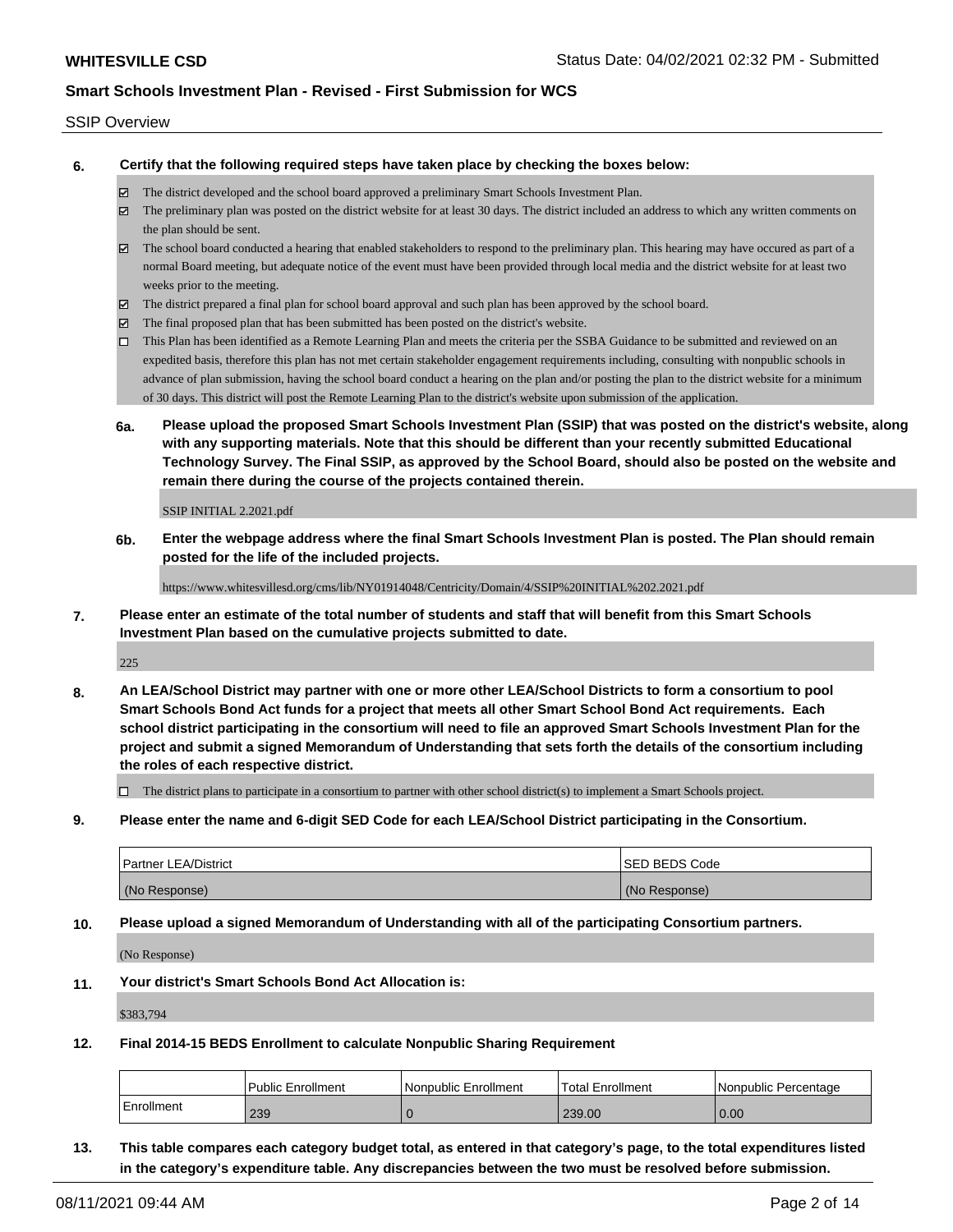#### SSIP Overview

**6. Certify that the following required steps have taken place by checking the boxes below:**

- The district developed and the school board approved a preliminary Smart Schools Investment Plan.
- The preliminary plan was posted on the district website for at least 30 days. The district included an address to which any written comments on the plan should be sent.
- $\boxtimes$  The school board conducted a hearing that enabled stakeholders to respond to the preliminary plan. This hearing may have occured as part of a normal Board meeting, but adequate notice of the event must have been provided through local media and the district website for at least two weeks prior to the meeting.
- The district prepared a final plan for school board approval and such plan has been approved by the school board.
- $\boxtimes$  The final proposed plan that has been submitted has been posted on the district's website.
- This Plan has been identified as a Remote Learning Plan and meets the criteria per the SSBA Guidance to be submitted and reviewed on an expedited basis, therefore this plan has not met certain stakeholder engagement requirements including, consulting with nonpublic schools in advance of plan submission, having the school board conduct a hearing on the plan and/or posting the plan to the district website for a minimum of 30 days. This district will post the Remote Learning Plan to the district's website upon submission of the application.
- **6a. Please upload the proposed Smart Schools Investment Plan (SSIP) that was posted on the district's website, along with any supporting materials. Note that this should be different than your recently submitted Educational Technology Survey. The Final SSIP, as approved by the School Board, should also be posted on the website and remain there during the course of the projects contained therein.**

SSIP INITIAL 2.2021.pdf

**6b. Enter the webpage address where the final Smart Schools Investment Plan is posted. The Plan should remain posted for the life of the included projects.**

https://www.whitesvillesd.org/cms/lib/NY01914048/Centricity/Domain/4/SSIP%20INITIAL%202.2021.pdf

**7. Please enter an estimate of the total number of students and staff that will benefit from this Smart Schools Investment Plan based on the cumulative projects submitted to date.**

225

**8. An LEA/School District may partner with one or more other LEA/School Districts to form a consortium to pool Smart Schools Bond Act funds for a project that meets all other Smart School Bond Act requirements. Each school district participating in the consortium will need to file an approved Smart Schools Investment Plan for the project and submit a signed Memorandum of Understanding that sets forth the details of the consortium including the roles of each respective district.**

 $\Box$  The district plans to participate in a consortium to partner with other school district(s) to implement a Smart Schools project.

**9. Please enter the name and 6-digit SED Code for each LEA/School District participating in the Consortium.**

| <b>Partner LEA/District</b> | <b>ISED BEDS Code</b> |
|-----------------------------|-----------------------|
| (No Response)               | (No Response)         |

**10. Please upload a signed Memorandum of Understanding with all of the participating Consortium partners.**

(No Response)

**11. Your district's Smart Schools Bond Act Allocation is:**

\$383,794

**12. Final 2014-15 BEDS Enrollment to calculate Nonpublic Sharing Requirement**

|            | <b>Public Enrollment</b> | l Nonpublic Enrollment | Total Enrollment | I Nonpublic Percentage |
|------------|--------------------------|------------------------|------------------|------------------------|
| Enrollment | 239                      |                        | 239.00           | 0.00                   |

**13. This table compares each category budget total, as entered in that category's page, to the total expenditures listed in the category's expenditure table. Any discrepancies between the two must be resolved before submission.**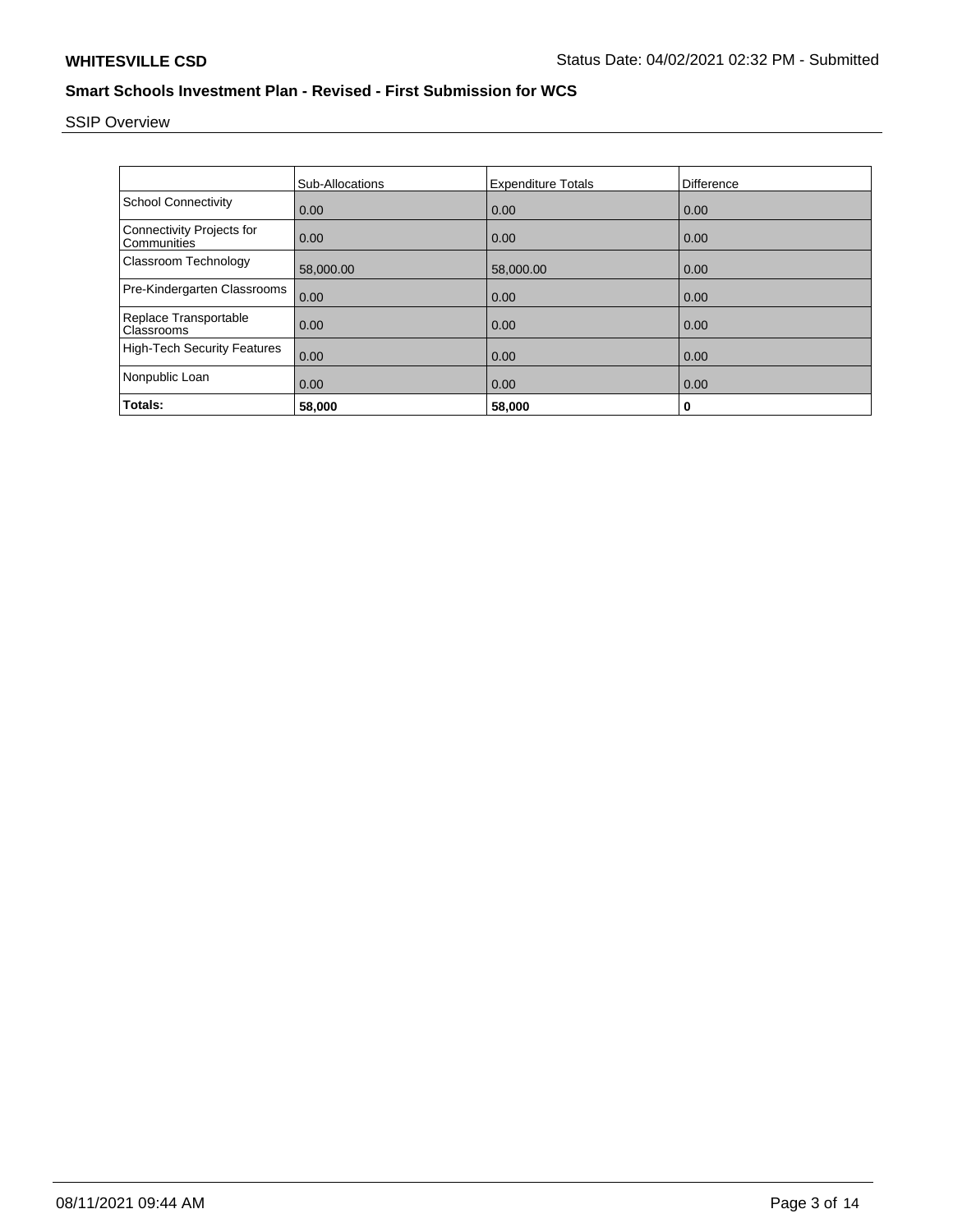# SSIP Overview

|                                                 | <b>Sub-Allocations</b> | <b>Expenditure Totals</b> | <b>Difference</b> |
|-------------------------------------------------|------------------------|---------------------------|-------------------|
| <b>School Connectivity</b>                      | 0.00                   | 0.00                      | 0.00              |
| <b>Connectivity Projects for</b><br>Communities | 0.00                   | 0.00                      | 0.00              |
| Classroom Technology                            | 58,000.00              | 58,000.00                 | 0.00              |
| Pre-Kindergarten Classrooms                     | 0.00                   | 0.00                      | 0.00              |
| Replace Transportable<br>Classrooms             | 0.00                   | 0.00                      | 0.00              |
| <b>High-Tech Security Features</b>              | 0.00                   | 0.00                      | 0.00              |
| Nonpublic Loan                                  | 0.00                   | 0.00                      | 0.00              |
| Totals:                                         | 58,000                 | 58,000                    | 0                 |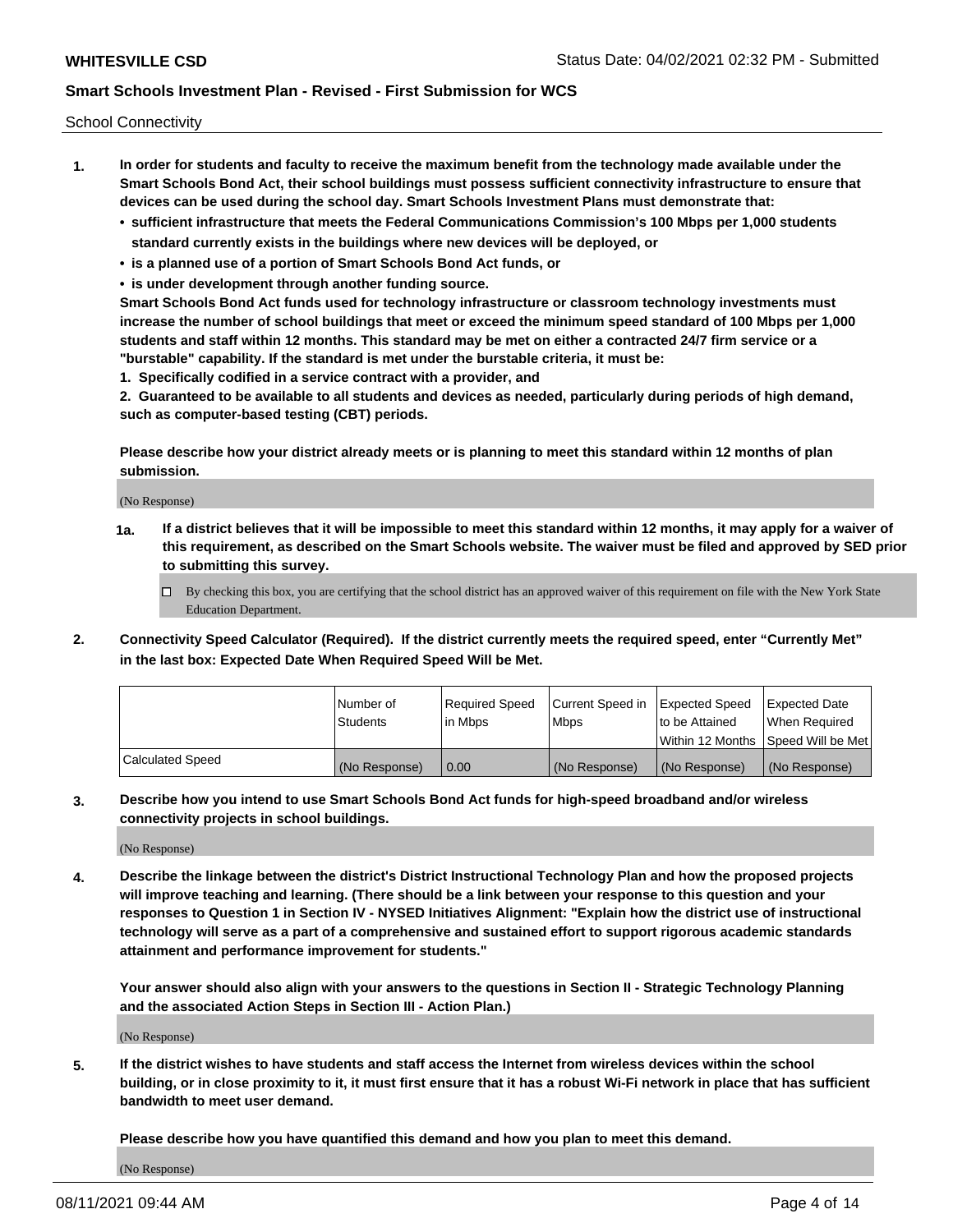School Connectivity

- **1. In order for students and faculty to receive the maximum benefit from the technology made available under the Smart Schools Bond Act, their school buildings must possess sufficient connectivity infrastructure to ensure that devices can be used during the school day. Smart Schools Investment Plans must demonstrate that:**
	- **• sufficient infrastructure that meets the Federal Communications Commission's 100 Mbps per 1,000 students standard currently exists in the buildings where new devices will be deployed, or**
	- **• is a planned use of a portion of Smart Schools Bond Act funds, or**
	- **• is under development through another funding source.**

**Smart Schools Bond Act funds used for technology infrastructure or classroom technology investments must increase the number of school buildings that meet or exceed the minimum speed standard of 100 Mbps per 1,000 students and staff within 12 months. This standard may be met on either a contracted 24/7 firm service or a "burstable" capability. If the standard is met under the burstable criteria, it must be:**

**1. Specifically codified in a service contract with a provider, and**

**2. Guaranteed to be available to all students and devices as needed, particularly during periods of high demand, such as computer-based testing (CBT) periods.**

**Please describe how your district already meets or is planning to meet this standard within 12 months of plan submission.**

(No Response)

**1a. If a district believes that it will be impossible to meet this standard within 12 months, it may apply for a waiver of this requirement, as described on the Smart Schools website. The waiver must be filed and approved by SED prior to submitting this survey.**

 $\Box$  By checking this box, you are certifying that the school district has an approved waiver of this requirement on file with the New York State Education Department.

**2. Connectivity Speed Calculator (Required). If the district currently meets the required speed, enter "Currently Met" in the last box: Expected Date When Required Speed Will be Met.**

|                  | l Number of   | Required Speed | Current Speed in | Expected Speed  | Expected Date                           |
|------------------|---------------|----------------|------------------|-----------------|-----------------------------------------|
|                  | Students      | In Mbps        | l Mbps           | to be Attained  | When Required                           |
|                  |               |                |                  |                 | l Within 12 Months ISpeed Will be Met l |
| Calculated Speed | (No Response) | 0.00           | (No Response)    | l (No Response) | l (No Response)                         |

**3. Describe how you intend to use Smart Schools Bond Act funds for high-speed broadband and/or wireless connectivity projects in school buildings.**

(No Response)

**4. Describe the linkage between the district's District Instructional Technology Plan and how the proposed projects will improve teaching and learning. (There should be a link between your response to this question and your responses to Question 1 in Section IV - NYSED Initiatives Alignment: "Explain how the district use of instructional technology will serve as a part of a comprehensive and sustained effort to support rigorous academic standards attainment and performance improvement for students."** 

**Your answer should also align with your answers to the questions in Section II - Strategic Technology Planning and the associated Action Steps in Section III - Action Plan.)**

(No Response)

**5. If the district wishes to have students and staff access the Internet from wireless devices within the school building, or in close proximity to it, it must first ensure that it has a robust Wi-Fi network in place that has sufficient bandwidth to meet user demand.**

**Please describe how you have quantified this demand and how you plan to meet this demand.**

(No Response)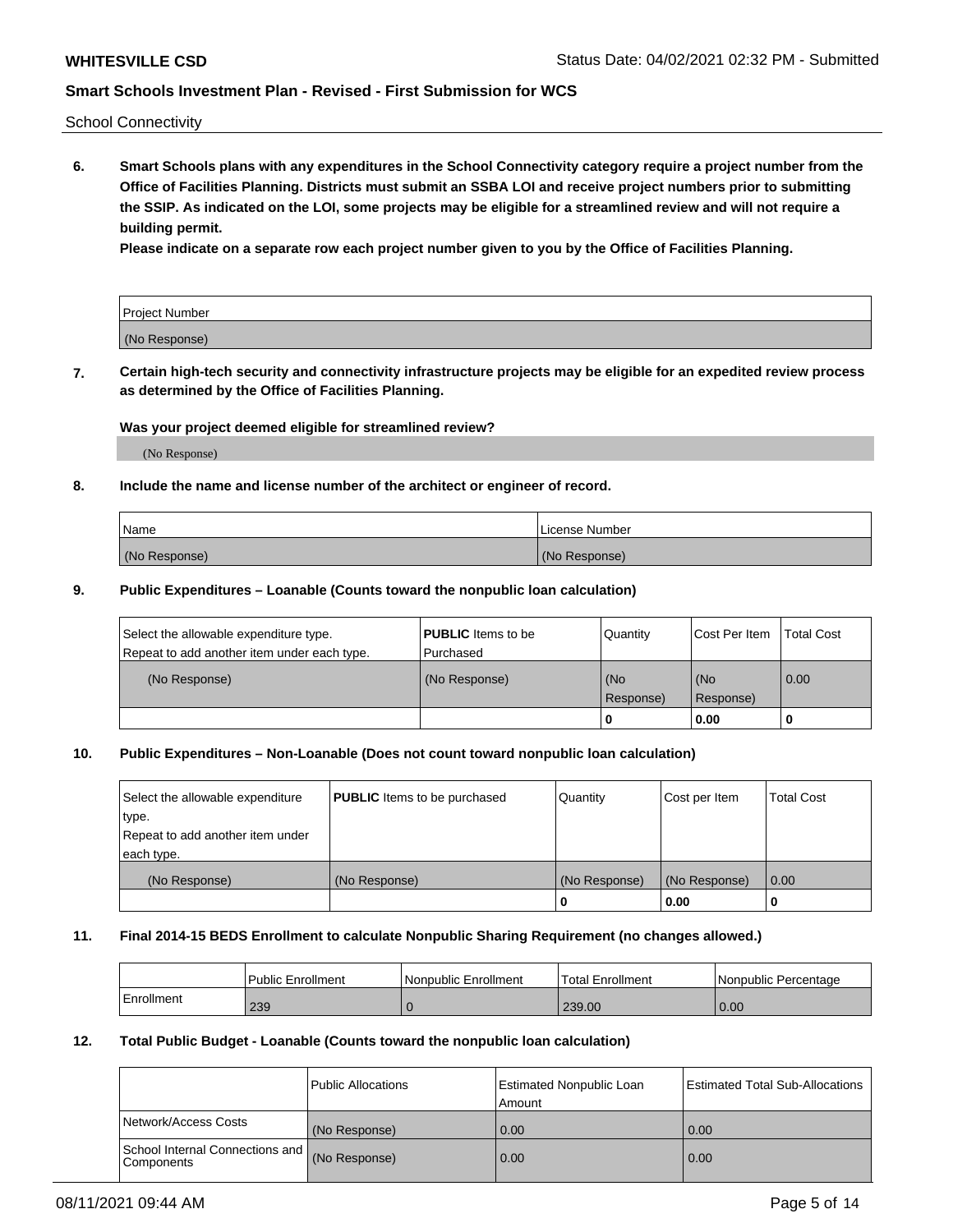School Connectivity

**6. Smart Schools plans with any expenditures in the School Connectivity category require a project number from the Office of Facilities Planning. Districts must submit an SSBA LOI and receive project numbers prior to submitting the SSIP. As indicated on the LOI, some projects may be eligible for a streamlined review and will not require a building permit.**

**Please indicate on a separate row each project number given to you by the Office of Facilities Planning.**

| Project Number |  |
|----------------|--|
| (No Response)  |  |

**7. Certain high-tech security and connectivity infrastructure projects may be eligible for an expedited review process as determined by the Office of Facilities Planning.**

## **Was your project deemed eligible for streamlined review?**

(No Response)

## **8. Include the name and license number of the architect or engineer of record.**

| Name          | License Number |
|---------------|----------------|
| (No Response) | (No Response)  |

### **9. Public Expenditures – Loanable (Counts toward the nonpublic loan calculation)**

| Select the allowable expenditure type.<br>Repeat to add another item under each type. | <b>PUBLIC</b> Items to be<br>l Purchased | Quantity         | l Cost Per Item  | <b>Total Cost</b> |
|---------------------------------------------------------------------------------------|------------------------------------------|------------------|------------------|-------------------|
| (No Response)                                                                         | (No Response)                            | (No<br>Response) | (No<br>Response) | 0.00              |
|                                                                                       |                                          | 0                | 0.00             |                   |

## **10. Public Expenditures – Non-Loanable (Does not count toward nonpublic loan calculation)**

| Select the allowable expenditure<br>type.<br>Repeat to add another item under<br>each type. | <b>PUBLIC</b> Items to be purchased | Quantity      | Cost per Item | <b>Total Cost</b> |
|---------------------------------------------------------------------------------------------|-------------------------------------|---------------|---------------|-------------------|
| (No Response)                                                                               | (No Response)                       | (No Response) | (No Response) | 0.00              |
|                                                                                             |                                     |               | 0.00          |                   |

#### **11. Final 2014-15 BEDS Enrollment to calculate Nonpublic Sharing Requirement (no changes allowed.)**

|            | Public Enrollment | <b>Nonpublic Enrollment</b> | Total Enrollment | l Nonpublic Percentage |
|------------|-------------------|-----------------------------|------------------|------------------------|
| Enrollment | 239               |                             | 239.00           | 0.00                   |

## **12. Total Public Budget - Loanable (Counts toward the nonpublic loan calculation)**

|                                                      | Public Allocations | <b>Estimated Nonpublic Loan</b><br>Amount | Estimated Total Sub-Allocations |
|------------------------------------------------------|--------------------|-------------------------------------------|---------------------------------|
| Network/Access Costs                                 | (No Response)      | 0.00                                      | 0.00                            |
| School Internal Connections and<br><b>Components</b> | (No Response)      | 0.00                                      | 0.00                            |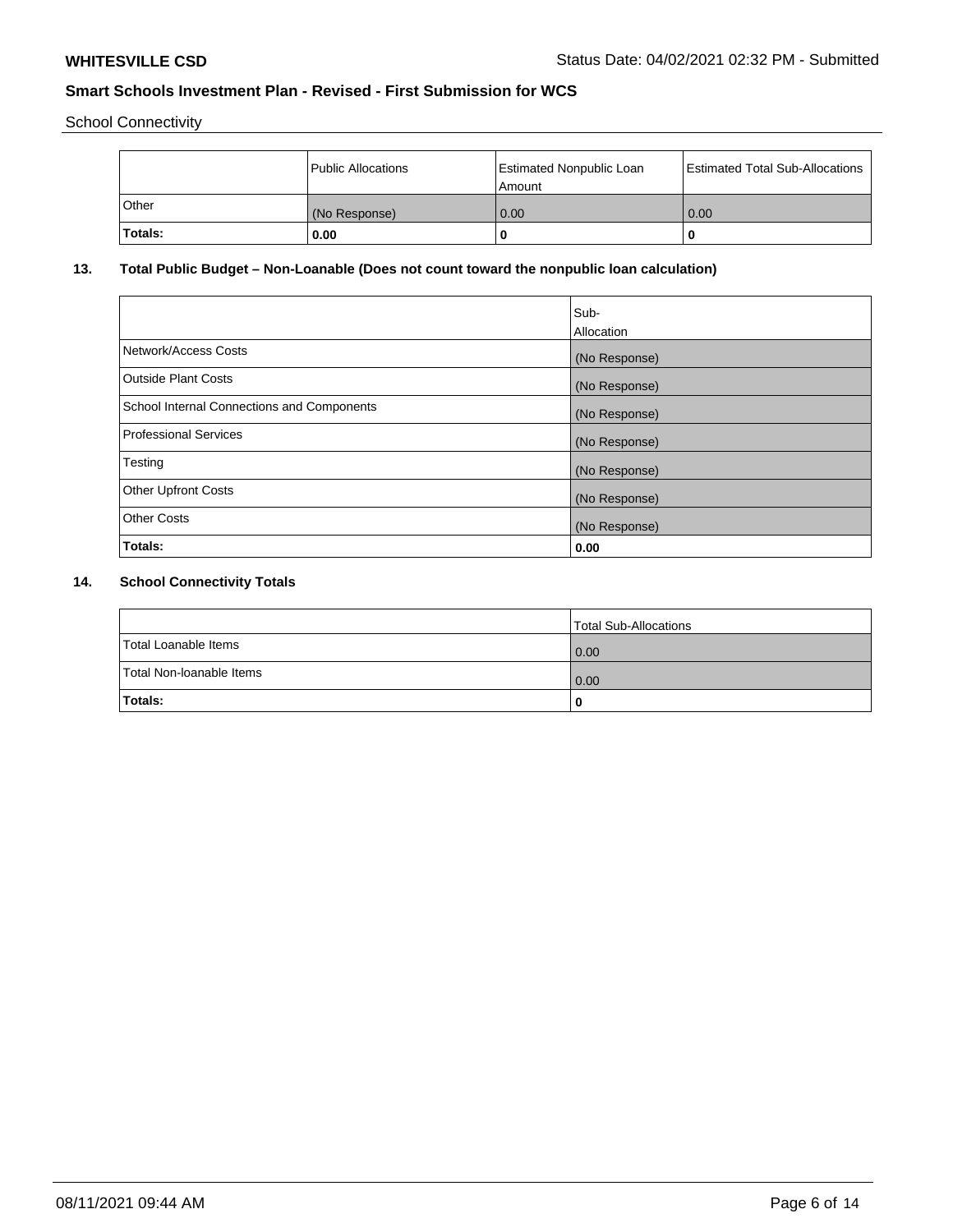School Connectivity

|                | Public Allocations | <b>Estimated Nonpublic Loan</b><br>l Amount | <b>Estimated Total Sub-Allocations</b> |
|----------------|--------------------|---------------------------------------------|----------------------------------------|
| l Other        | (No Response)      | 0.00                                        | 0.00                                   |
| <b>Totals:</b> | 0.00               | 0                                           |                                        |

# **13. Total Public Budget – Non-Loanable (Does not count toward the nonpublic loan calculation)**

| Sub-<br>Allocation |
|--------------------|
| (No Response)      |
| (No Response)      |
| (No Response)      |
| (No Response)      |
| (No Response)      |
| (No Response)      |
| (No Response)      |
| 0.00               |
|                    |

# **14. School Connectivity Totals**

|                          | Total Sub-Allocations |
|--------------------------|-----------------------|
| Total Loanable Items     | 0.00                  |
| Total Non-Ioanable Items | 0.00                  |
| Totals:                  | 0                     |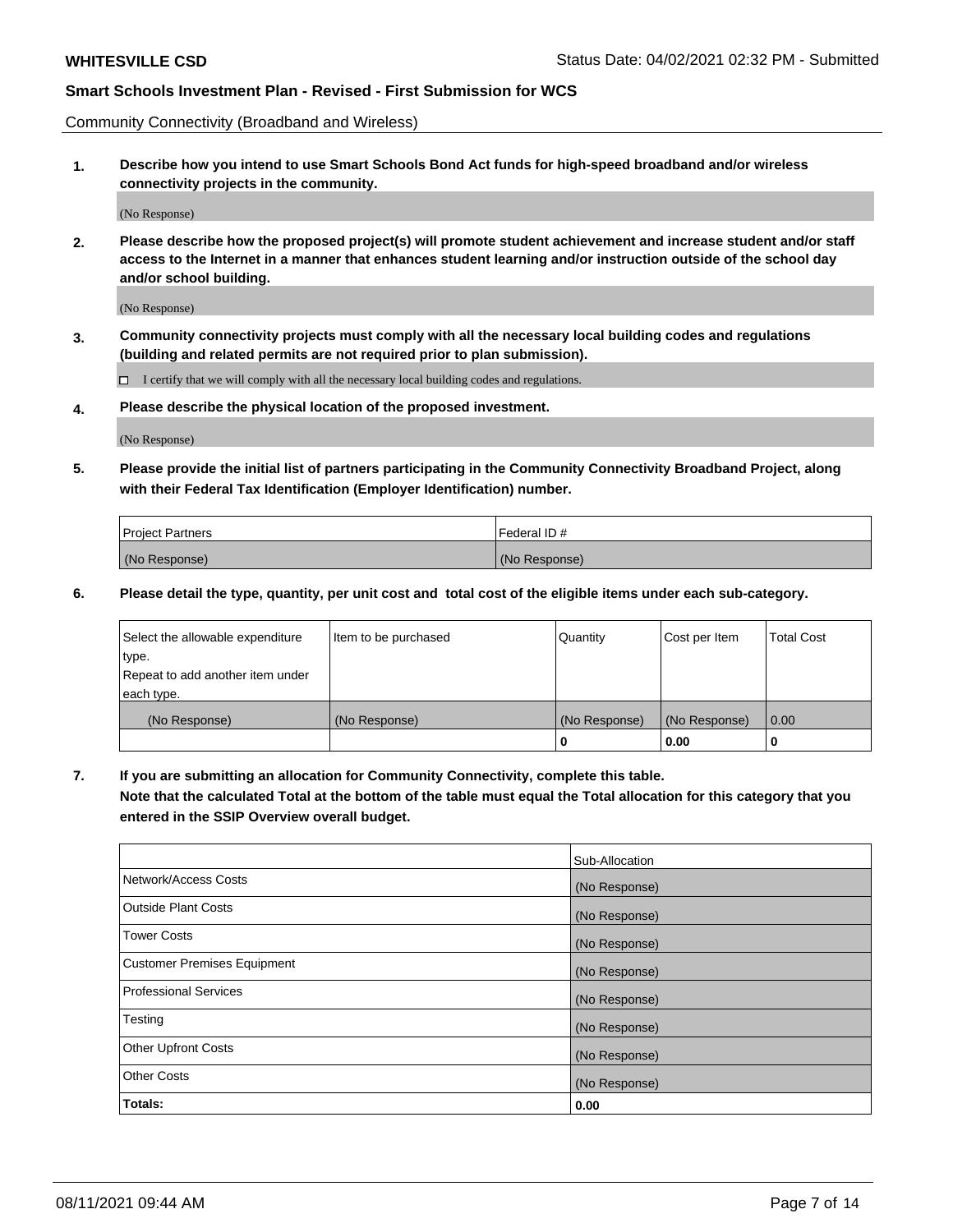Community Connectivity (Broadband and Wireless)

**1. Describe how you intend to use Smart Schools Bond Act funds for high-speed broadband and/or wireless connectivity projects in the community.**

(No Response)

**2. Please describe how the proposed project(s) will promote student achievement and increase student and/or staff access to the Internet in a manner that enhances student learning and/or instruction outside of the school day and/or school building.**

(No Response)

**3. Community connectivity projects must comply with all the necessary local building codes and regulations (building and related permits are not required prior to plan submission).**

 $\Box$  I certify that we will comply with all the necessary local building codes and regulations.

**4. Please describe the physical location of the proposed investment.**

(No Response)

**5. Please provide the initial list of partners participating in the Community Connectivity Broadband Project, along with their Federal Tax Identification (Employer Identification) number.**

| <b>Project Partners</b> | l Federal ID # |
|-------------------------|----------------|
| (No Response)           | (No Response)  |

**6. Please detail the type, quantity, per unit cost and total cost of the eligible items under each sub-category.**

| Select the allowable expenditure | Item to be purchased | Quantity      | Cost per Item | <b>Total Cost</b> |
|----------------------------------|----------------------|---------------|---------------|-------------------|
| type.                            |                      |               |               |                   |
| Repeat to add another item under |                      |               |               |                   |
| each type.                       |                      |               |               |                   |
| (No Response)                    | (No Response)        | (No Response) | (No Response) | 0.00              |
|                                  |                      | U             | 0.00          | -0                |

**7. If you are submitting an allocation for Community Connectivity, complete this table.**

**Note that the calculated Total at the bottom of the table must equal the Total allocation for this category that you entered in the SSIP Overview overall budget.**

|                                    | Sub-Allocation |
|------------------------------------|----------------|
| Network/Access Costs               | (No Response)  |
| Outside Plant Costs                | (No Response)  |
| <b>Tower Costs</b>                 | (No Response)  |
| <b>Customer Premises Equipment</b> | (No Response)  |
| <b>Professional Services</b>       | (No Response)  |
| Testing                            | (No Response)  |
| <b>Other Upfront Costs</b>         | (No Response)  |
| <b>Other Costs</b>                 | (No Response)  |
| Totals:                            | 0.00           |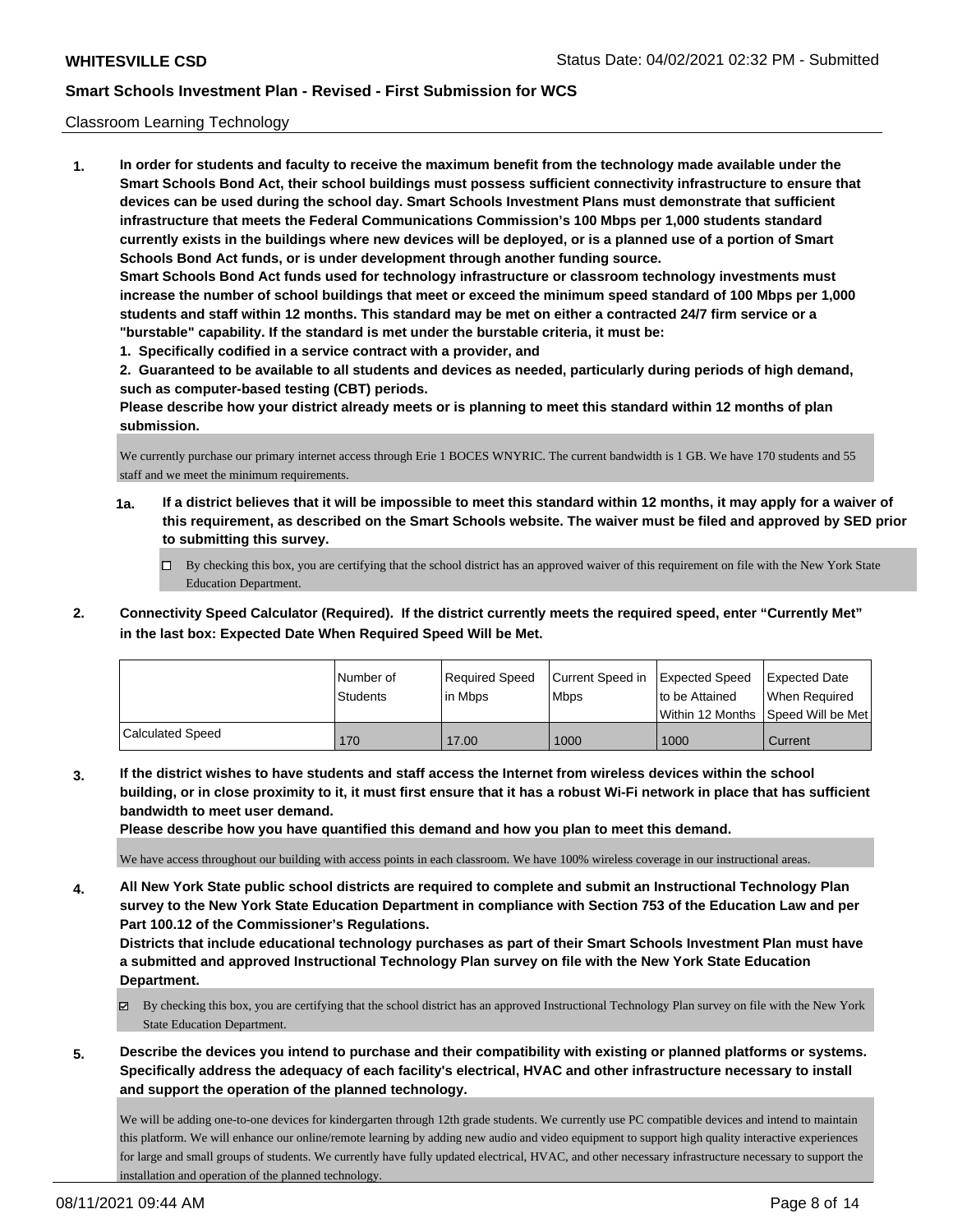## Classroom Learning Technology

**1. In order for students and faculty to receive the maximum benefit from the technology made available under the Smart Schools Bond Act, their school buildings must possess sufficient connectivity infrastructure to ensure that devices can be used during the school day. Smart Schools Investment Plans must demonstrate that sufficient infrastructure that meets the Federal Communications Commission's 100 Mbps per 1,000 students standard currently exists in the buildings where new devices will be deployed, or is a planned use of a portion of Smart Schools Bond Act funds, or is under development through another funding source. Smart Schools Bond Act funds used for technology infrastructure or classroom technology investments must increase the number of school buildings that meet or exceed the minimum speed standard of 100 Mbps per 1,000 students and staff within 12 months. This standard may be met on either a contracted 24/7 firm service or a "burstable" capability. If the standard is met under the burstable criteria, it must be:**

**1. Specifically codified in a service contract with a provider, and**

**2. Guaranteed to be available to all students and devices as needed, particularly during periods of high demand, such as computer-based testing (CBT) periods.**

**Please describe how your district already meets or is planning to meet this standard within 12 months of plan submission.**

We currently purchase our primary internet access through Erie 1 BOCES WNYRIC. The current bandwidth is 1 GB. We have 170 students and 55 staff and we meet the minimum requirements.

- **1a. If a district believes that it will be impossible to meet this standard within 12 months, it may apply for a waiver of this requirement, as described on the Smart Schools website. The waiver must be filed and approved by SED prior to submitting this survey.**
	- By checking this box, you are certifying that the school district has an approved waiver of this requirement on file with the New York State Education Department.
- **2. Connectivity Speed Calculator (Required). If the district currently meets the required speed, enter "Currently Met" in the last box: Expected Date When Required Speed Will be Met.**

|                         | INumber of<br><b>Students</b> | Required Speed<br>l in Mbps | Current Speed in Expected Speed<br>l Mbps | Ito be Attained | Expected Date<br>When Required<br>Within 12 Months Speed Will be Met |
|-------------------------|-------------------------------|-----------------------------|-------------------------------------------|-----------------|----------------------------------------------------------------------|
| <b>Calculated Speed</b> | 170                           | 17.00                       | 1000                                      | 1000            | Current                                                              |

**3. If the district wishes to have students and staff access the Internet from wireless devices within the school building, or in close proximity to it, it must first ensure that it has a robust Wi-Fi network in place that has sufficient bandwidth to meet user demand.**

**Please describe how you have quantified this demand and how you plan to meet this demand.**

We have access throughout our building with access points in each classroom. We have 100% wireless coverage in our instructional areas.

**4. All New York State public school districts are required to complete and submit an Instructional Technology Plan survey to the New York State Education Department in compliance with Section 753 of the Education Law and per Part 100.12 of the Commissioner's Regulations.**

**Districts that include educational technology purchases as part of their Smart Schools Investment Plan must have a submitted and approved Instructional Technology Plan survey on file with the New York State Education Department.**

- $\boxtimes$  By checking this box, you are certifying that the school district has an approved Instructional Technology Plan survey on file with the New York State Education Department.
- **5. Describe the devices you intend to purchase and their compatibility with existing or planned platforms or systems. Specifically address the adequacy of each facility's electrical, HVAC and other infrastructure necessary to install and support the operation of the planned technology.**

We will be adding one-to-one devices for kindergarten through 12th grade students. We currently use PC compatible devices and intend to maintain this platform. We will enhance our online/remote learning by adding new audio and video equipment to support high quality interactive experiences for large and small groups of students. We currently have fully updated electrical, HVAC, and other necessary infrastructure necessary to support the installation and operation of the planned technology.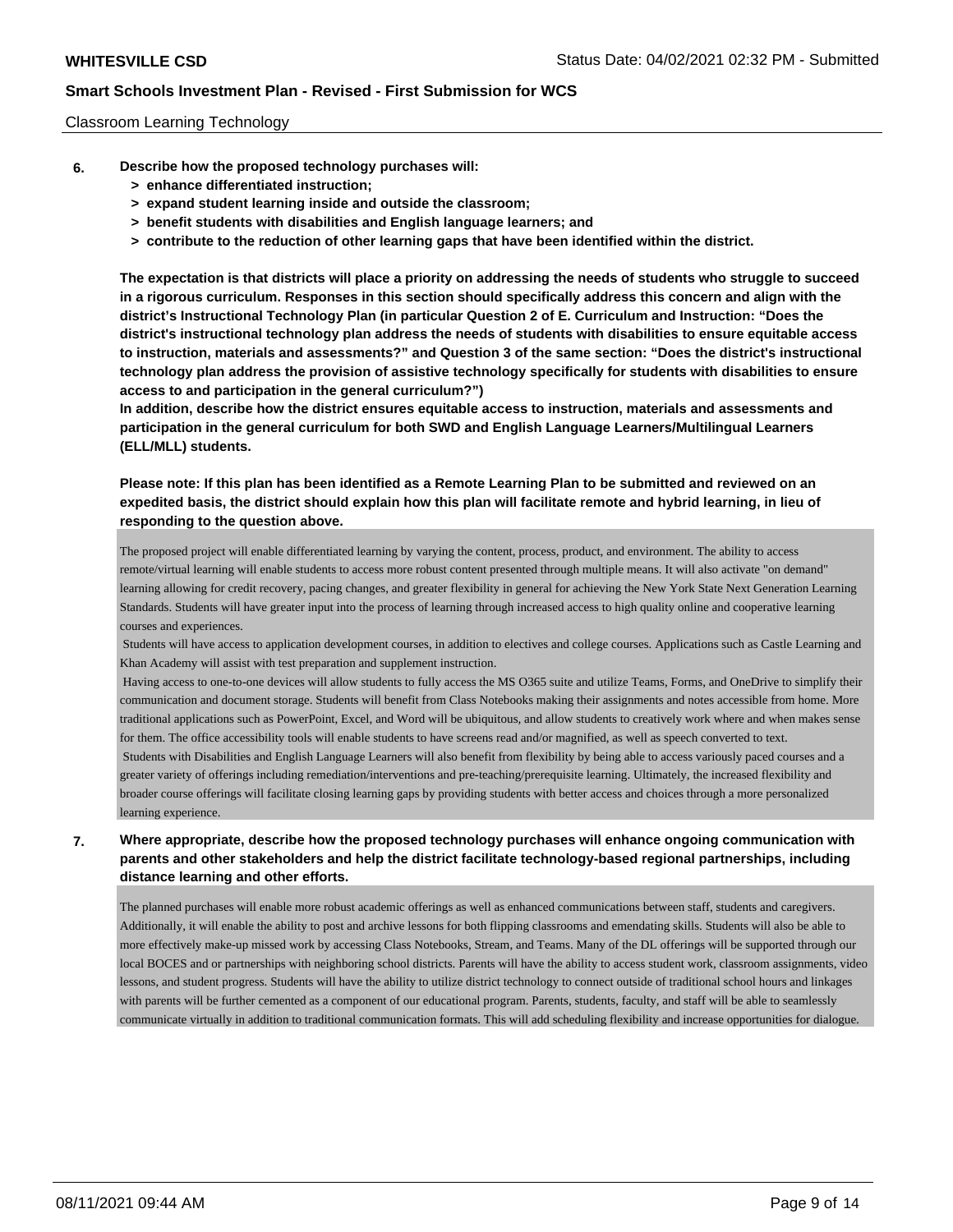### Classroom Learning Technology

- **6. Describe how the proposed technology purchases will:**
	- **> enhance differentiated instruction;**
	- **> expand student learning inside and outside the classroom;**
	- **> benefit students with disabilities and English language learners; and**
	- **> contribute to the reduction of other learning gaps that have been identified within the district.**

**The expectation is that districts will place a priority on addressing the needs of students who struggle to succeed in a rigorous curriculum. Responses in this section should specifically address this concern and align with the district's Instructional Technology Plan (in particular Question 2 of E. Curriculum and Instruction: "Does the district's instructional technology plan address the needs of students with disabilities to ensure equitable access to instruction, materials and assessments?" and Question 3 of the same section: "Does the district's instructional technology plan address the provision of assistive technology specifically for students with disabilities to ensure access to and participation in the general curriculum?")**

**In addition, describe how the district ensures equitable access to instruction, materials and assessments and participation in the general curriculum for both SWD and English Language Learners/Multilingual Learners (ELL/MLL) students.**

**Please note: If this plan has been identified as a Remote Learning Plan to be submitted and reviewed on an expedited basis, the district should explain how this plan will facilitate remote and hybrid learning, in lieu of responding to the question above.**

The proposed project will enable differentiated learning by varying the content, process, product, and environment. The ability to access remote/virtual learning will enable students to access more robust content presented through multiple means. It will also activate "on demand" learning allowing for credit recovery, pacing changes, and greater flexibility in general for achieving the New York State Next Generation Learning Standards. Students will have greater input into the process of learning through increased access to high quality online and cooperative learning courses and experiences.

 Students will have access to application development courses, in addition to electives and college courses. Applications such as Castle Learning and Khan Academy will assist with test preparation and supplement instruction.

 Having access to one-to-one devices will allow students to fully access the MS O365 suite and utilize Teams, Forms, and OneDrive to simplify their communication and document storage. Students will benefit from Class Notebooks making their assignments and notes accessible from home. More traditional applications such as PowerPoint, Excel, and Word will be ubiquitous, and allow students to creatively work where and when makes sense for them. The office accessibility tools will enable students to have screens read and/or magnified, as well as speech converted to text.

 Students with Disabilities and English Language Learners will also benefit from flexibility by being able to access variously paced courses and a greater variety of offerings including remediation/interventions and pre-teaching/prerequisite learning. Ultimately, the increased flexibility and broader course offerings will facilitate closing learning gaps by providing students with better access and choices through a more personalized learning experience.

## **7. Where appropriate, describe how the proposed technology purchases will enhance ongoing communication with parents and other stakeholders and help the district facilitate technology-based regional partnerships, including distance learning and other efforts.**

The planned purchases will enable more robust academic offerings as well as enhanced communications between staff, students and caregivers. Additionally, it will enable the ability to post and archive lessons for both flipping classrooms and emendating skills. Students will also be able to more effectively make-up missed work by accessing Class Notebooks, Stream, and Teams. Many of the DL offerings will be supported through our local BOCES and or partnerships with neighboring school districts. Parents will have the ability to access student work, classroom assignments, video lessons, and student progress. Students will have the ability to utilize district technology to connect outside of traditional school hours and linkages with parents will be further cemented as a component of our educational program. Parents, students, faculty, and staff will be able to seamlessly communicate virtually in addition to traditional communication formats. This will add scheduling flexibility and increase opportunities for dialogue.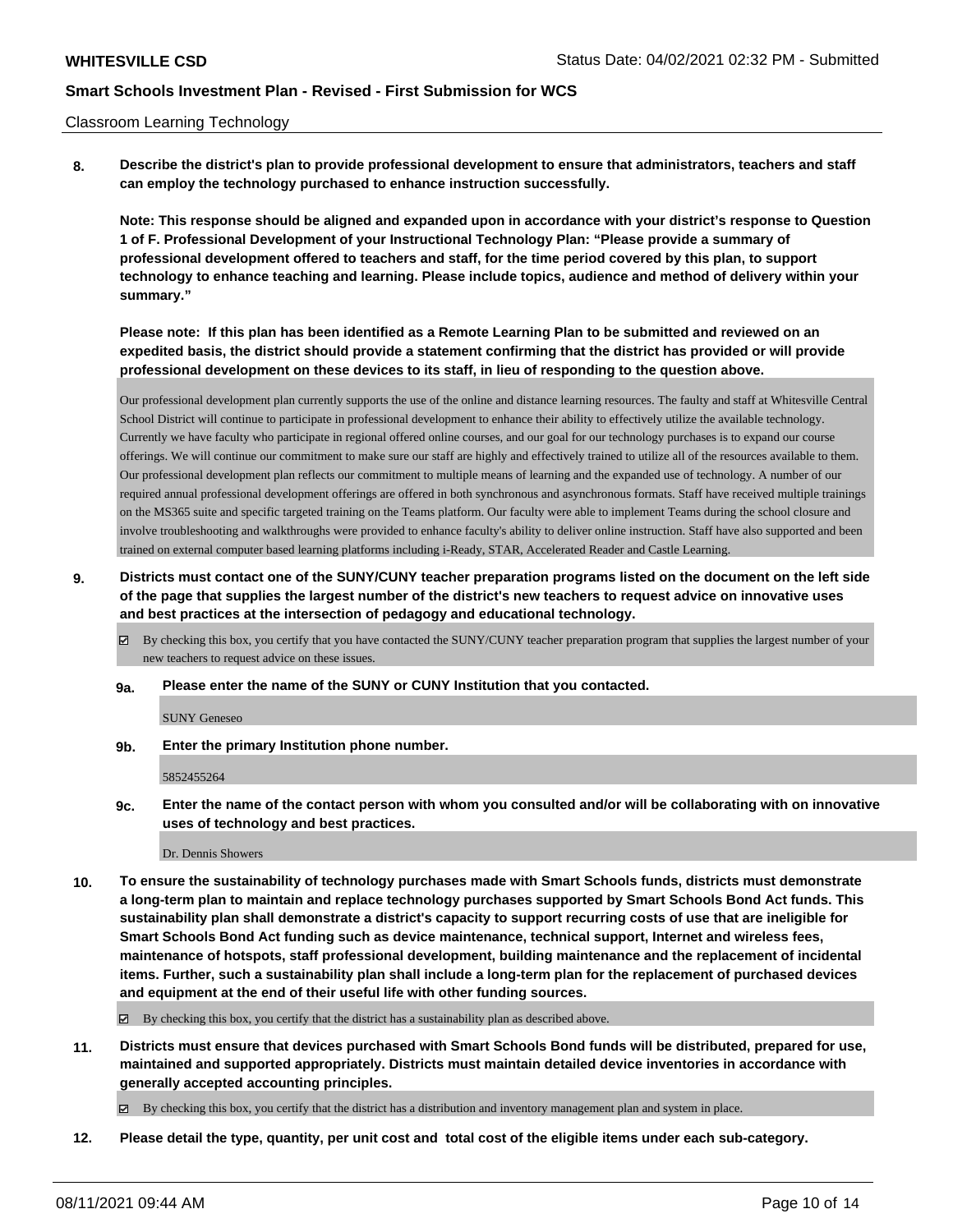#### Classroom Learning Technology

**8. Describe the district's plan to provide professional development to ensure that administrators, teachers and staff can employ the technology purchased to enhance instruction successfully.**

**Note: This response should be aligned and expanded upon in accordance with your district's response to Question 1 of F. Professional Development of your Instructional Technology Plan: "Please provide a summary of professional development offered to teachers and staff, for the time period covered by this plan, to support technology to enhance teaching and learning. Please include topics, audience and method of delivery within your summary."**

**Please note: If this plan has been identified as a Remote Learning Plan to be submitted and reviewed on an expedited basis, the district should provide a statement confirming that the district has provided or will provide professional development on these devices to its staff, in lieu of responding to the question above.**

Our professional development plan currently supports the use of the online and distance learning resources. The faulty and staff at Whitesville Central School District will continue to participate in professional development to enhance their ability to effectively utilize the available technology. Currently we have faculty who participate in regional offered online courses, and our goal for our technology purchases is to expand our course offerings. We will continue our commitment to make sure our staff are highly and effectively trained to utilize all of the resources available to them. Our professional development plan reflects our commitment to multiple means of learning and the expanded use of technology. A number of our required annual professional development offerings are offered in both synchronous and asynchronous formats. Staff have received multiple trainings on the MS365 suite and specific targeted training on the Teams platform. Our faculty were able to implement Teams during the school closure and involve troubleshooting and walkthroughs were provided to enhance faculty's ability to deliver online instruction. Staff have also supported and been trained on external computer based learning platforms including i-Ready, STAR, Accelerated Reader and Castle Learning.

- **9. Districts must contact one of the SUNY/CUNY teacher preparation programs listed on the document on the left side of the page that supplies the largest number of the district's new teachers to request advice on innovative uses and best practices at the intersection of pedagogy and educational technology.**
	- By checking this box, you certify that you have contacted the SUNY/CUNY teacher preparation program that supplies the largest number of your new teachers to request advice on these issues.
	- **9a. Please enter the name of the SUNY or CUNY Institution that you contacted.**

SUNY Geneseo

**9b. Enter the primary Institution phone number.**

5852455264

**9c. Enter the name of the contact person with whom you consulted and/or will be collaborating with on innovative uses of technology and best practices.**

Dr. Dennis Showers

**10. To ensure the sustainability of technology purchases made with Smart Schools funds, districts must demonstrate a long-term plan to maintain and replace technology purchases supported by Smart Schools Bond Act funds. This sustainability plan shall demonstrate a district's capacity to support recurring costs of use that are ineligible for Smart Schools Bond Act funding such as device maintenance, technical support, Internet and wireless fees, maintenance of hotspots, staff professional development, building maintenance and the replacement of incidental items. Further, such a sustainability plan shall include a long-term plan for the replacement of purchased devices and equipment at the end of their useful life with other funding sources.**

By checking this box, you certify that the district has a sustainability plan as described above.

**11. Districts must ensure that devices purchased with Smart Schools Bond funds will be distributed, prepared for use, maintained and supported appropriately. Districts must maintain detailed device inventories in accordance with generally accepted accounting principles.**

By checking this box, you certify that the district has a distribution and inventory management plan and system in place.

**12. Please detail the type, quantity, per unit cost and total cost of the eligible items under each sub-category.**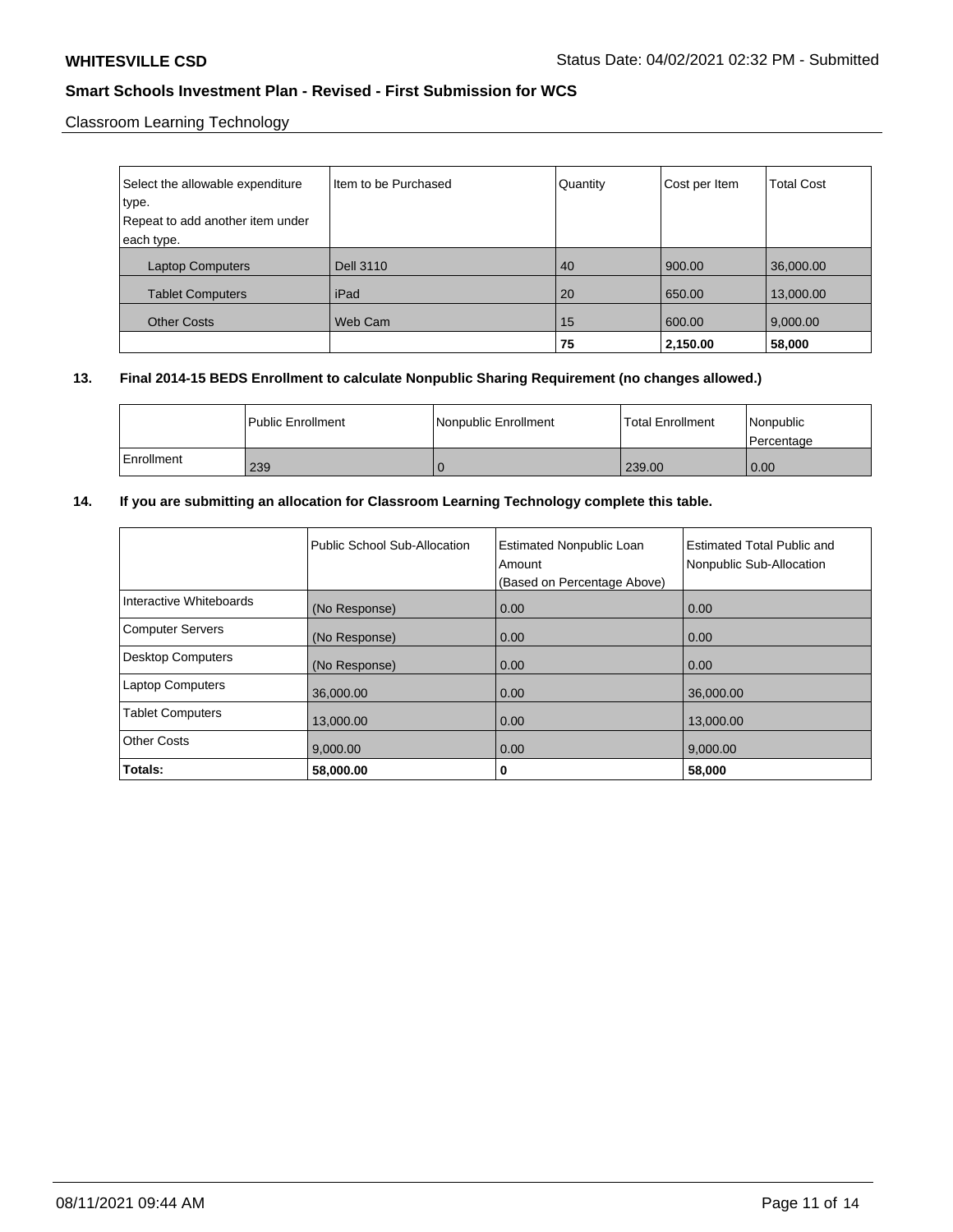Classroom Learning Technology

| Select the allowable expenditure | Item to be Purchased | Quantity | Cost per Item | <b>Total Cost</b> |
|----------------------------------|----------------------|----------|---------------|-------------------|
| type.                            |                      |          |               |                   |
| Repeat to add another item under |                      |          |               |                   |
| each type.                       |                      |          |               |                   |
| <b>Laptop Computers</b>          | <b>Dell 3110</b>     | 40       | 900.00        | 36,000.00         |
| <b>Tablet Computers</b>          | iPad                 | 20       | 650.00        | 13,000.00         |
| <b>Other Costs</b>               | Web Cam              | 15       | 600.00        | 9,000.00          |
|                                  |                      | 75       | 2,150.00      | 58,000            |

## **13. Final 2014-15 BEDS Enrollment to calculate Nonpublic Sharing Requirement (no changes allowed.)**

|              | l Public Enrollment | Nonpublic Enrollment | <b>Total Enrollment</b> | Nonpublic<br>l Percentage |
|--------------|---------------------|----------------------|-------------------------|---------------------------|
| l Enrollment | 239                 |                      | 239.00                  | 0.00                      |

## **14. If you are submitting an allocation for Classroom Learning Technology complete this table.**

|                          | Public School Sub-Allocation | <b>Estimated Nonpublic Loan</b><br>Amount<br>(Based on Percentage Above) | Estimated Total Public and<br>Nonpublic Sub-Allocation |
|--------------------------|------------------------------|--------------------------------------------------------------------------|--------------------------------------------------------|
| Interactive Whiteboards  | (No Response)                | 0.00                                                                     | 0.00                                                   |
| <b>Computer Servers</b>  | (No Response)                | 0.00                                                                     | 0.00                                                   |
| <b>Desktop Computers</b> | (No Response)                | 0.00                                                                     | 0.00                                                   |
| <b>Laptop Computers</b>  | 36,000.00                    | 0.00                                                                     | 36,000.00                                              |
| <b>Tablet Computers</b>  | 13,000.00                    | 0.00                                                                     | 13,000.00                                              |
| <b>Other Costs</b>       | 9.000.00                     | 0.00                                                                     | 9.000.00                                               |
| Totals:                  | 58,000.00                    | 0                                                                        | 58,000                                                 |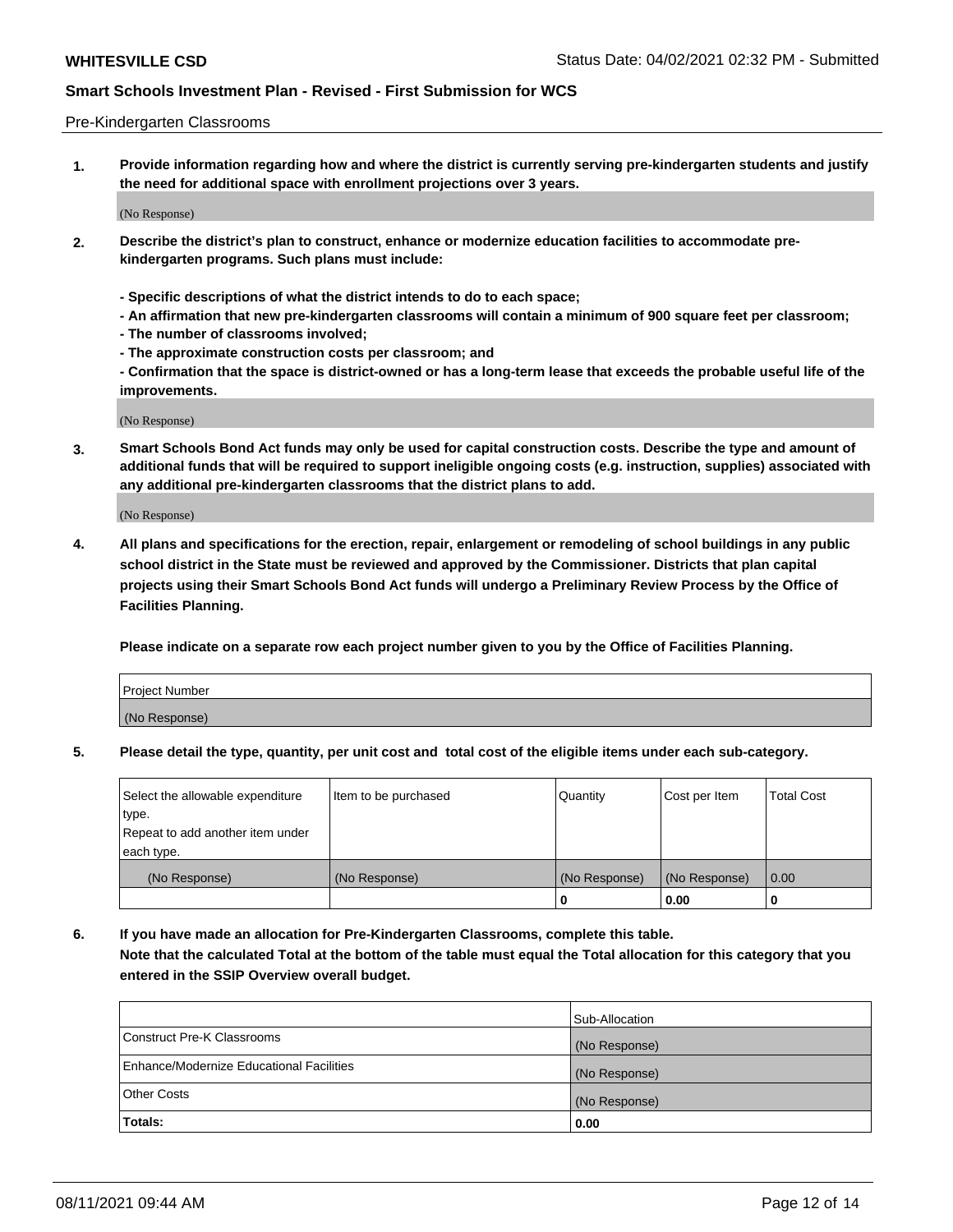#### Pre-Kindergarten Classrooms

**1. Provide information regarding how and where the district is currently serving pre-kindergarten students and justify the need for additional space with enrollment projections over 3 years.**

(No Response)

- **2. Describe the district's plan to construct, enhance or modernize education facilities to accommodate prekindergarten programs. Such plans must include:**
	- **Specific descriptions of what the district intends to do to each space;**
	- **An affirmation that new pre-kindergarten classrooms will contain a minimum of 900 square feet per classroom;**
	- **The number of classrooms involved;**
	- **The approximate construction costs per classroom; and**
	- **Confirmation that the space is district-owned or has a long-term lease that exceeds the probable useful life of the improvements.**

(No Response)

**3. Smart Schools Bond Act funds may only be used for capital construction costs. Describe the type and amount of additional funds that will be required to support ineligible ongoing costs (e.g. instruction, supplies) associated with any additional pre-kindergarten classrooms that the district plans to add.**

(No Response)

**4. All plans and specifications for the erection, repair, enlargement or remodeling of school buildings in any public school district in the State must be reviewed and approved by the Commissioner. Districts that plan capital projects using their Smart Schools Bond Act funds will undergo a Preliminary Review Process by the Office of Facilities Planning.**

**Please indicate on a separate row each project number given to you by the Office of Facilities Planning.**

| Project Number |  |
|----------------|--|
| (No Response)  |  |
|                |  |

**5. Please detail the type, quantity, per unit cost and total cost of the eligible items under each sub-category.**

| Select the allowable expenditure | Item to be purchased | Quantity      | Cost per Item | <b>Total Cost</b> |
|----------------------------------|----------------------|---------------|---------------|-------------------|
| type.                            |                      |               |               |                   |
| Repeat to add another item under |                      |               |               |                   |
| each type.                       |                      |               |               |                   |
| (No Response)                    | (No Response)        | (No Response) | (No Response) | 0.00              |
|                                  |                      | U             | 0.00          |                   |

**6. If you have made an allocation for Pre-Kindergarten Classrooms, complete this table. Note that the calculated Total at the bottom of the table must equal the Total allocation for this category that you entered in the SSIP Overview overall budget.**

|                                          | Sub-Allocation |
|------------------------------------------|----------------|
| Construct Pre-K Classrooms               | (No Response)  |
| Enhance/Modernize Educational Facilities | (No Response)  |
| <b>Other Costs</b>                       | (No Response)  |
| Totals:                                  | 0.00           |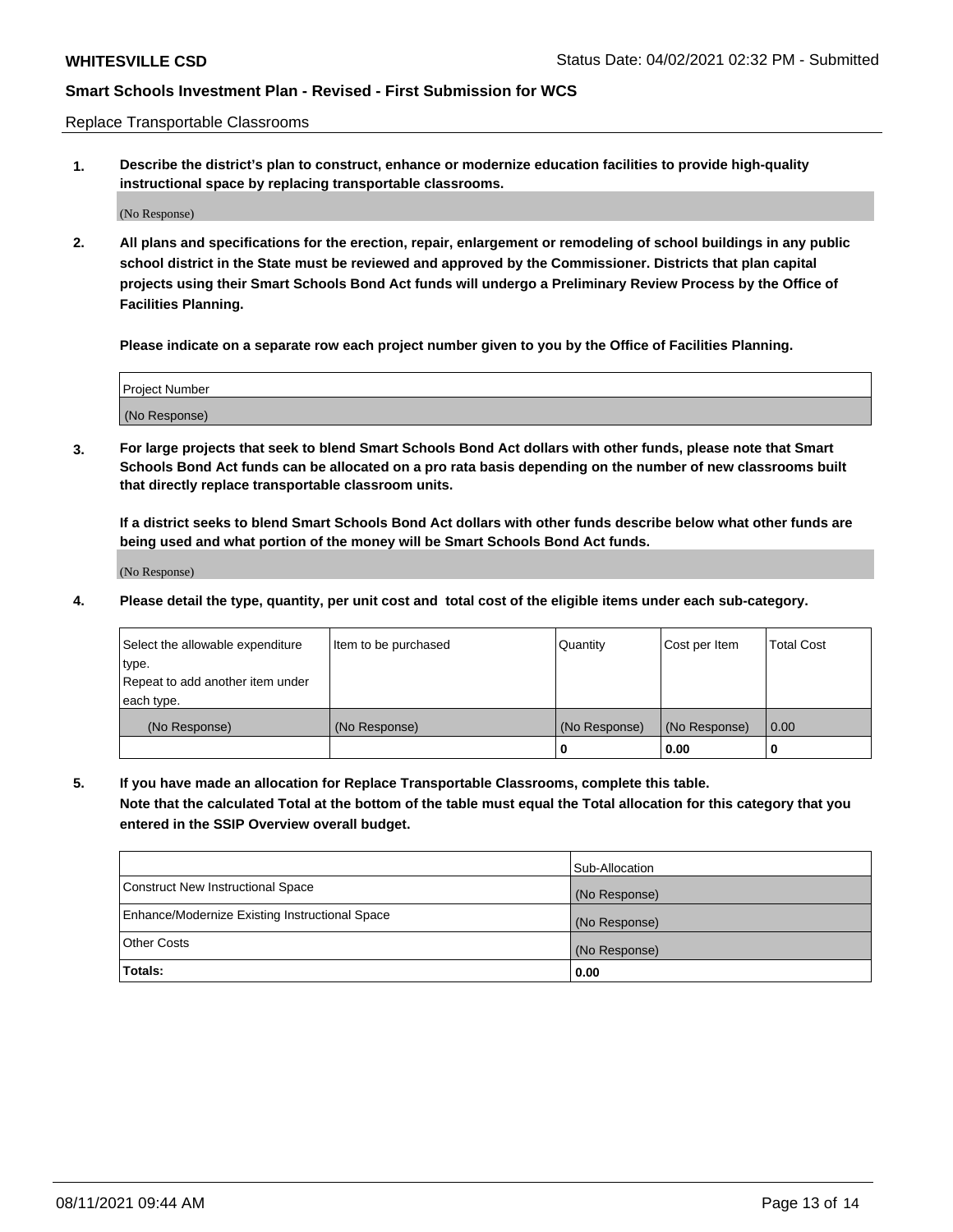Replace Transportable Classrooms

**1. Describe the district's plan to construct, enhance or modernize education facilities to provide high-quality instructional space by replacing transportable classrooms.**

(No Response)

**2. All plans and specifications for the erection, repair, enlargement or remodeling of school buildings in any public school district in the State must be reviewed and approved by the Commissioner. Districts that plan capital projects using their Smart Schools Bond Act funds will undergo a Preliminary Review Process by the Office of Facilities Planning.**

**Please indicate on a separate row each project number given to you by the Office of Facilities Planning.**

| Project Number |  |
|----------------|--|
|                |  |
|                |  |
|                |  |
|                |  |
| (No Response)  |  |
|                |  |
|                |  |
|                |  |

**3. For large projects that seek to blend Smart Schools Bond Act dollars with other funds, please note that Smart Schools Bond Act funds can be allocated on a pro rata basis depending on the number of new classrooms built that directly replace transportable classroom units.**

**If a district seeks to blend Smart Schools Bond Act dollars with other funds describe below what other funds are being used and what portion of the money will be Smart Schools Bond Act funds.**

(No Response)

**4. Please detail the type, quantity, per unit cost and total cost of the eligible items under each sub-category.**

| Select the allowable expenditure | Item to be purchased | Quantity      | Cost per Item | Total Cost |
|----------------------------------|----------------------|---------------|---------------|------------|
| ∣type.                           |                      |               |               |            |
| Repeat to add another item under |                      |               |               |            |
| each type.                       |                      |               |               |            |
| (No Response)                    | (No Response)        | (No Response) | (No Response) | 0.00       |
|                                  |                      | u             | 0.00          |            |

**5. If you have made an allocation for Replace Transportable Classrooms, complete this table. Note that the calculated Total at the bottom of the table must equal the Total allocation for this category that you entered in the SSIP Overview overall budget.**

|                                                | Sub-Allocation |
|------------------------------------------------|----------------|
| Construct New Instructional Space              | (No Response)  |
| Enhance/Modernize Existing Instructional Space | (No Response)  |
| Other Costs                                    | (No Response)  |
| Totals:                                        | 0.00           |